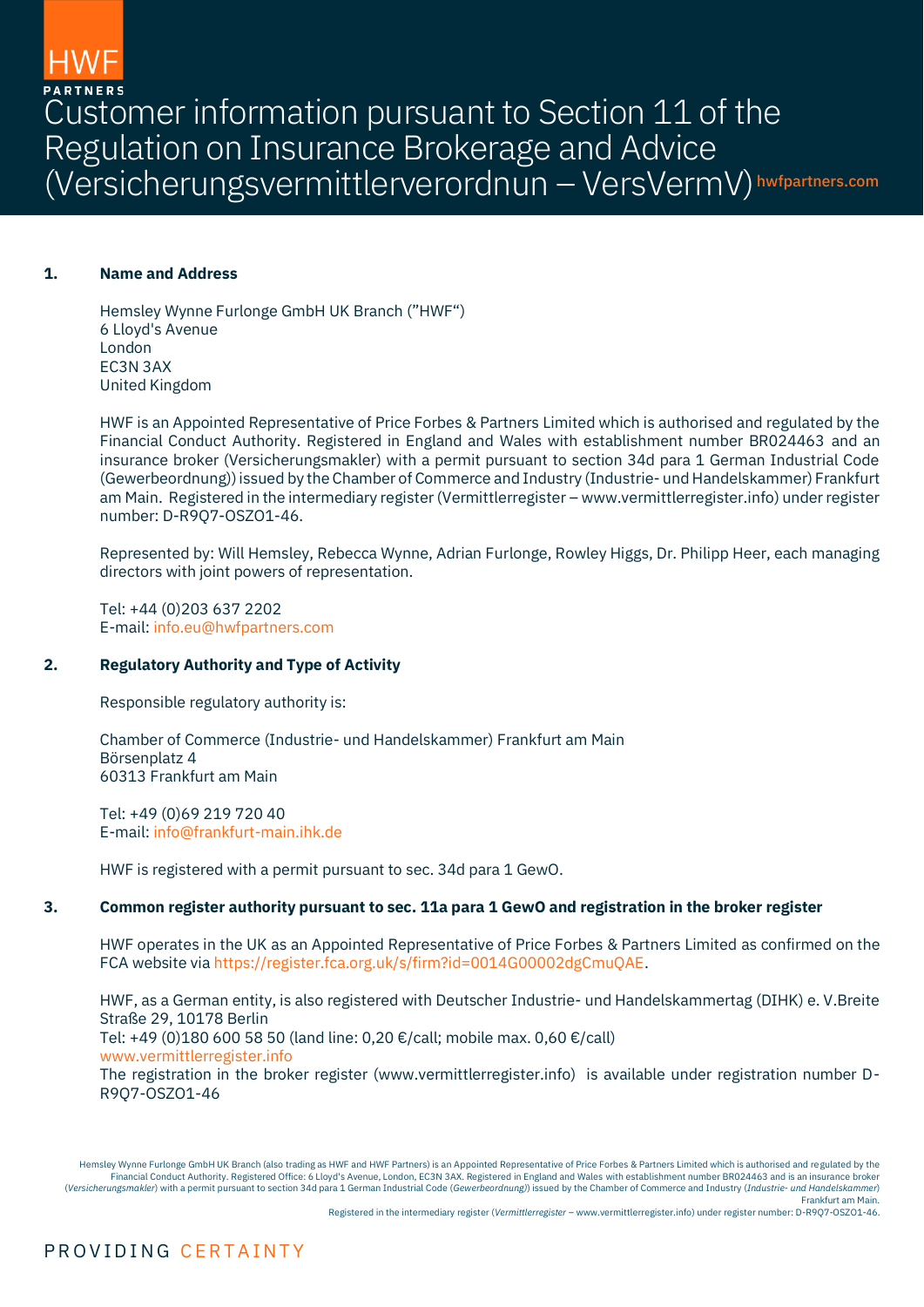Customer information pursuant to Section 11 of the Regulation on Insurance Brokerage and Advice (Versicherungsvermittlerverordnun – VersVermV) hwfpartners.com

## **1. Name and Address**

Hemsley Wynne Furlonge GmbH UK Branch ("HWF") 6 Lloyd's Avenue London EC3N 3AX United Kingdom

HWF is an Appointed Representative of Price Forbes & Partners Limited which is authorised and regulated by the Financial Conduct Authority. Registered in England and Wales with establishment number BR024463 and an insurance broker (Versicherungsmakler) with a permit pursuant to section 34d para 1 German Industrial Code (Gewerbeordnung)) issued by the Chamber of Commerce and Industry (Industrie- und Handelskammer) Frankfurt am Main. Registered in the intermediary register (Vermittlerregister – www.vermittlerregister.info) under register number: D-R9Q7-OSZO1-46.

Represented by: Will Hemsley, Rebecca Wynne, Adrian Furlonge, Rowley Higgs, Dr. Philipp Heer, each managing directors with joint powers of representation.

Tel: +44 (0)203 637 2202 E-mail[: info.eu@hwfpartners.com](mailto:info.eu@hwfpartners.com)

## **2. Regulatory Authority and Type of Activity**

Responsible regulatory authority is:

Chamber of Commerce (Industrie- und Handelskammer) Frankfurt am Main Börsenplatz 4 60313 Frankfurt am Main

Tel: +49 (0)69 219 720 40 E-mail[: info@frankfurt-main.ihk.de](mailto:info@frankfurt-main.ihk.de)

HWF is registered with a permit pursuant to sec. 34d para 1 GewO.

# **3. Common register authority pursuant to sec. 11a para 1 GewO and registration in the broker register**

HWF operates in the UK as an Appointed Representative of Price Forbes & Partners Limited as confirmed on the FCA website vi[a https://register.fca.org.uk/s/firm?id=0014G00002dgCmuQAE.](https://register.fca.org.uk/s/firm?id=0014G00002dgCmuQAE)

HWF, as a German entity, is also registered with Deutscher Industrie- und Handelskammertag (DIHK) e. V.Breite Straße 29, 10178 Berlin Tel: +49 (0)180 600 58 50 (land line: 0,20 €/call; mobile max. 0,60 €/call) [www.vermittlerregister.info](http://www.vermittlerregister.info/) The registration in the broker register (www.vermittlerregister.info) is available under registration number D-R9Q7-OSZO1-46

Hemsley Wynne Furlonge GmbH UK Branch (also trading as HWF and HWF Partners) is an Appointed Representative of Price Forbes & Partners Limited which is authorised and regulated by the Financial Conduct Authority. Registered Office: 6 Lloyd's Avenue, London, EC3N 3AX. Registered in England and Wales with establishment number BR024463 and is an insurance broker (*Versicherungsmakler*) with a permit pursuant to section 34d para 1 German Industrial Code (*Gewerbeordnung)*) issued by the Chamber of Commerce and Industry (*Industrie- und Handelskammer*) Frankfurt am Main.

Registered in the intermediary register (*Vermittlerregister* – [www.vermittlerregister.info\)](http://www.vermittlerregister.info/) under register number: D-R9Q7-OSZO1-46.